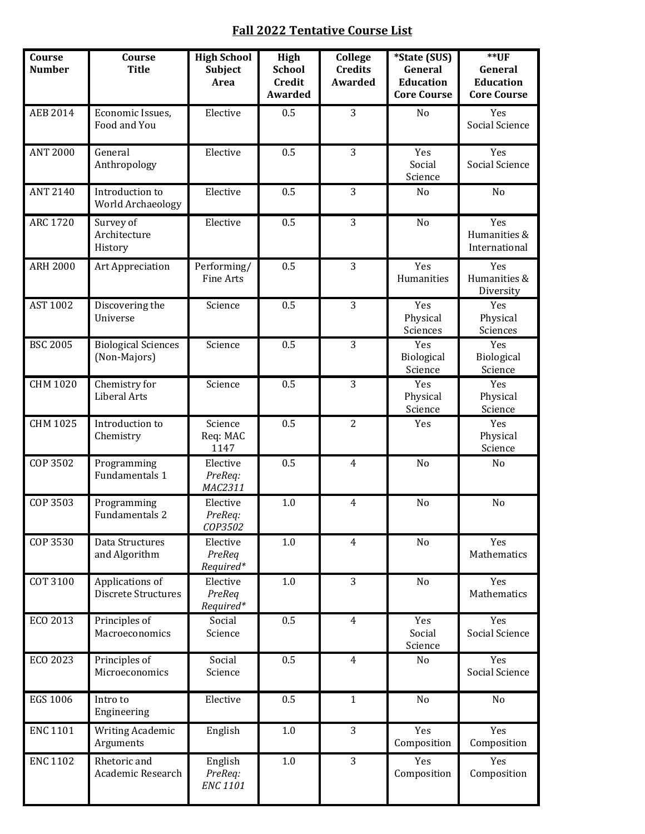## **Fall 2022 Tentative Course List**

| Course<br><b>Number</b> | Course<br><b>Title</b>                        | <b>High School</b><br>Subject<br>Area | High<br><b>School</b><br><b>Credit</b><br>Awarded | College<br><b>Credits</b><br><b>Awarded</b> | *State (SUS)<br>General<br><b>Education</b><br><b>Core Course</b> | $*$ UF<br>General<br><b>Education</b><br><b>Core Course</b> |
|-------------------------|-----------------------------------------------|---------------------------------------|---------------------------------------------------|---------------------------------------------|-------------------------------------------------------------------|-------------------------------------------------------------|
| <b>AEB 2014</b>         | Economic Issues,<br>Food and You              | Elective                              | 0.5                                               | 3                                           | No                                                                | Yes<br>Social Science                                       |
| <b>ANT 2000</b>         | General<br>Anthropology                       | Elective                              | 0.5                                               | 3                                           | Yes<br>Social<br>Science                                          | Yes<br>Social Science                                       |
| <b>ANT 2140</b>         | Introduction to<br>World Archaeology          | Elective                              | 0.5                                               | 3                                           | No                                                                | No                                                          |
| <b>ARC 1720</b>         | Survey of<br>Architecture<br>History          | Elective                              | 0.5                                               | 3                                           | No                                                                | Yes<br>Humanities &<br>International                        |
| <b>ARH 2000</b>         | Art Appreciation                              | Performing/<br>Fine Arts              | 0.5                                               | 3                                           | Yes<br>Humanities                                                 | Yes<br>Humanities &<br>Diversity                            |
| <b>AST 1002</b>         | Discovering the<br>Universe                   | Science                               | 0.5                                               | 3                                           | Yes<br>Physical<br>Sciences                                       | Yes<br>Physical<br>Sciences                                 |
| <b>BSC 2005</b>         | <b>Biological Sciences</b><br>(Non-Majors)    | Science                               | 0.5                                               | 3                                           | Yes<br>Biological<br>Science                                      | Yes<br>Biological<br>Science                                |
| CHM 1020                | Chemistry for<br>Liberal Arts                 | Science                               | 0.5                                               | 3                                           | Yes<br>Physical<br>Science                                        | Yes<br>Physical<br>Science                                  |
| <b>CHM 1025</b>         | Introduction to<br>Chemistry                  | Science<br>Req: MAC<br>1147           | 0.5                                               | $\overline{2}$                              | Yes                                                               | Yes<br>Physical<br>Science                                  |
| COP 3502                | Programming<br>Fundamentals 1                 | Elective<br>PreReq:<br>MAC2311        | 0.5                                               | $\overline{4}$                              | No                                                                | No                                                          |
| COP 3503                | Programming<br>Fundamentals 2                 | Elective<br>PreReq:<br>COP3502        | $1.0\,$                                           | $\overline{4}$                              | No                                                                | No                                                          |
| COP 3530                | Data Structures<br>and Algorithm              | Elective<br>PreReq<br>Required*       | $1.0\,$                                           | $\overline{4}$                              | No                                                                | Yes<br>Mathematics                                          |
| COT 3100                | Applications of<br><b>Discrete Structures</b> | Elective<br>PreReq<br>Required*       | $1.0\,$                                           | 3                                           | No                                                                | Yes<br>Mathematics                                          |
| ECO 2013                | Principles of<br>Macroeconomics               | Social<br>Science                     | 0.5                                               | $\overline{4}$                              | Yes<br>Social<br>Science                                          | Yes<br>Social Science                                       |
| ECO 2023                | Principles of<br>Microeconomics               | Social<br>Science                     | 0.5                                               | $\overline{4}$                              | No                                                                | Yes<br>Social Science                                       |
| EGS 1006                | Intro to<br>Engineering                       | Elective                              | 0.5                                               | $\mathbf{1}$                                | No                                                                | No                                                          |
| <b>ENC 1101</b>         | Writing Academic<br>Arguments                 | English                               | 1.0                                               | 3                                           | Yes<br>Composition                                                | Yes<br>Composition                                          |
| <b>ENC 1102</b>         | Rhetoric and<br>Academic Research             | English<br>PreReq:<br><b>ENC 1101</b> | $1.0\,$                                           | 3                                           | Yes<br>Composition                                                | Yes<br>Composition                                          |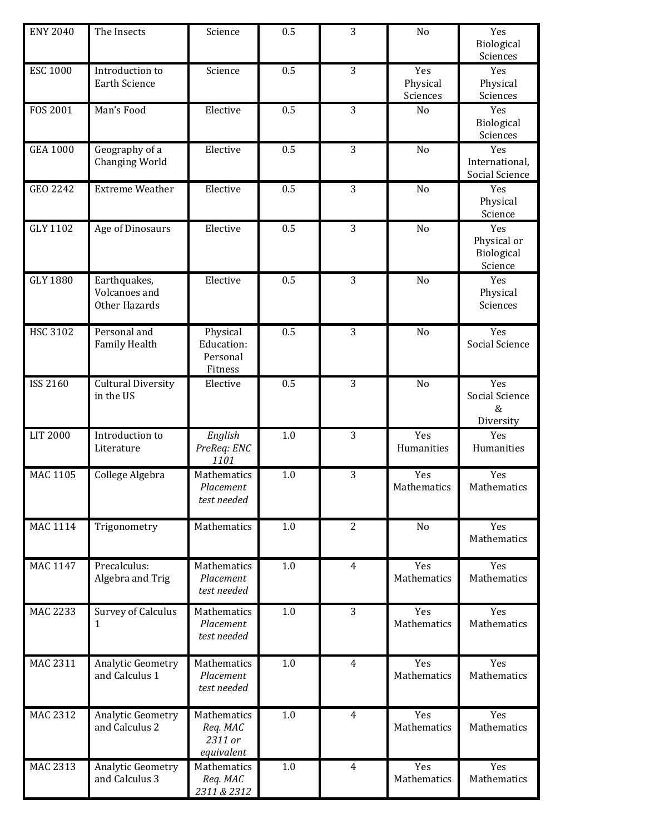| <b>ENY 2040</b> | The Insects                                    | Science                                          | 0.5 | 3              | No                          | Yes<br>Biological<br>Sciences               |
|-----------------|------------------------------------------------|--------------------------------------------------|-----|----------------|-----------------------------|---------------------------------------------|
| <b>ESC 1000</b> | Introduction to<br><b>Earth Science</b>        | Science                                          | 0.5 | 3              | Yes<br>Physical<br>Sciences | Yes<br>Physical<br>Sciences                 |
| <b>FOS 2001</b> | Man's Food                                     | Elective                                         | 0.5 | 3              | No                          | Yes<br>Biological<br>Sciences               |
| <b>GEA 1000</b> | Geography of a<br>Changing World               | Elective                                         | 0.5 | 3              | No                          | Yes<br>International,<br>Social Science     |
| GEO 2242        | <b>Extreme Weather</b>                         | Elective                                         | 0.5 | 3              | No                          | Yes<br>Physical<br>Science                  |
| GLY 1102        | Age of Dinosaurs                               | Elective                                         | 0.5 | 3              | No                          | Yes<br>Physical or<br>Biological<br>Science |
| <b>GLY 1880</b> | Earthquakes,<br>Volcanoes and<br>Other Hazards | Elective                                         | 0.5 | 3              | No                          | Yes<br>Physical<br>Sciences                 |
| <b>HSC 3102</b> | Personal and<br><b>Family Health</b>           | Physical<br>Education:<br>Personal<br>Fitness    | 0.5 | 3              | No                          | Yes<br>Social Science                       |
| <b>ISS 2160</b> | <b>Cultural Diversity</b><br>in the US         | Elective                                         | 0.5 | 3              | No                          | Yes<br>Social Science<br>$\&$<br>Diversity  |
| <b>LIT 2000</b> | Introduction to<br>Literature                  | English<br>PreReq: ENC<br>1101                   | 1.0 | 3              | Yes<br>Humanities           | Yes<br>Humanities                           |
| <b>MAC 1105</b> | College Algebra                                | Mathematics<br>Placement<br>test needed          | 1.0 | 3              | Yes<br>Mathematics          | Yes<br>Mathematics                          |
| <b>MAC 1114</b> | Trigonometry                                   | Mathematics                                      | 1.0 | $\overline{2}$ | No                          | Yes<br>Mathematics                          |
| <b>MAC 1147</b> | Precalculus:<br>Algebra and Trig               | Mathematics<br>Placement<br>test needed          | 1.0 | $\overline{4}$ | Yes<br>Mathematics          | Yes<br>Mathematics                          |
| <b>MAC 2233</b> | <b>Survey of Calculus</b>                      | Mathematics<br>Placement<br>test needed          | 1.0 | 3              | Yes<br>Mathematics          | Yes<br>Mathematics                          |
| MAC 2311        | Analytic Geometry<br>and Calculus 1            | Mathematics<br>Placement<br>test needed          | 1.0 | $\overline{4}$ | Yes<br>Mathematics          | Yes<br>Mathematics                          |
| <b>MAC 2312</b> | Analytic Geometry<br>and Calculus 2            | Mathematics<br>Req. MAC<br>2311 or<br>equivalent | 1.0 | $\overline{4}$ | Yes<br>Mathematics          | Yes<br>Mathematics                          |
| MAC 2313        | Analytic Geometry<br>and Calculus 3            | Mathematics<br>Req. MAC<br>2311 & 2312           | 1.0 | $\overline{4}$ | Yes<br>Mathematics          | Yes<br>Mathematics                          |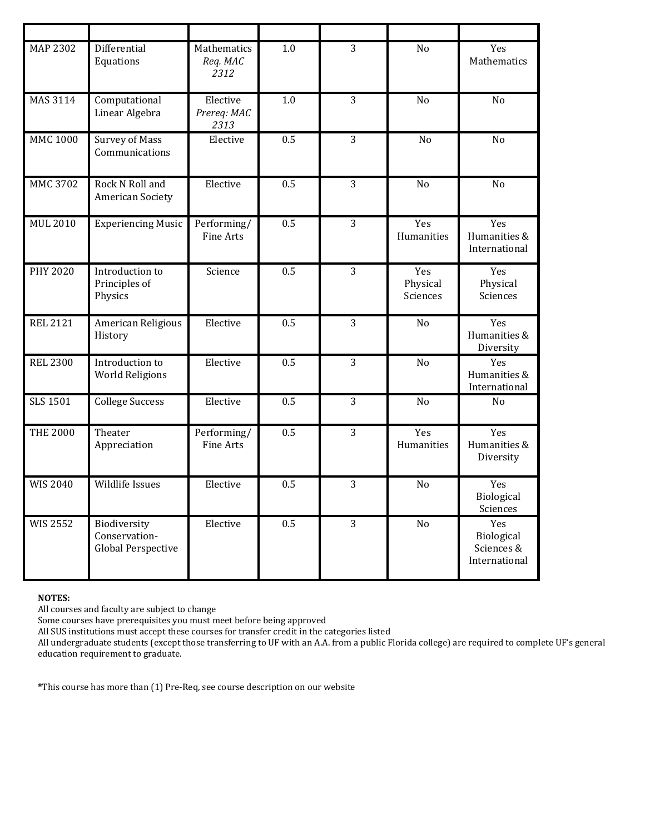| <b>MAP 2302</b> | Differential<br>Equations                                  | Mathematics<br>Req. MAC<br>2312 | 1.0 | 3              | No                          | Yes<br>Mathematics                               |
|-----------------|------------------------------------------------------------|---------------------------------|-----|----------------|-----------------------------|--------------------------------------------------|
| MAS 3114        | Computational<br>Linear Algebra                            | Elective<br>Prereq: MAC<br>2313 | 1.0 | 3              | No                          | No                                               |
| <b>MMC 1000</b> | <b>Survey of Mass</b><br>Communications                    | Elective                        | 0.5 | $\overline{3}$ | No                          | No                                               |
| MMC 3702        | Rock N Roll and<br><b>American Society</b>                 | Elective                        | 0.5 | 3              | N <sub>o</sub>              | No                                               |
| <b>MUL 2010</b> | <b>Experiencing Music</b>                                  | Performing/<br>Fine Arts        | 0.5 | 3              | Yes<br>Humanities           | Yes<br>Humanities &<br>International             |
| <b>PHY 2020</b> | Introduction to<br>Principles of<br>Physics                | Science                         | 0.5 | 3              | Yes<br>Physical<br>Sciences | Yes<br>Physical<br>Sciences                      |
| <b>REL 2121</b> | American Religious<br>History                              | Elective                        | 0.5 | 3              | No                          | Yes<br>Humanities &<br>Diversity                 |
| <b>REL 2300</b> | Introduction to<br><b>World Religions</b>                  | Elective                        | 0.5 | 3              | No                          | Yes<br>Humanities &<br>International             |
| <b>SLS 1501</b> | College Success                                            | Elective                        | 0.5 | 3              | No                          | No                                               |
| <b>THE 2000</b> | Theater<br>Appreciation                                    | Performing/<br><b>Fine Arts</b> | 0.5 | 3              | Yes<br>Humanities           | Yes<br>Humanities &<br>Diversity                 |
| <b>WIS 2040</b> | Wildlife Issues                                            | Elective                        | 0.5 | 3              | No                          | Yes<br>Biological<br>Sciences                    |
| <b>WIS 2552</b> | Biodiversity<br>Conservation-<br><b>Global Perspective</b> | Elective                        | 0.5 | 3              | No                          | Yes<br>Biological<br>Sciences &<br>International |

## **NOTES:**

All courses and faculty are subject to change

Some courses have prerequisites you must meet before being approved

All SUS institutions must accept these courses for transfer credit in the categories listed

All undergraduate students (except those transferring to UF with an A.A. from a public Florida college) are required to complete UF's general education requirement to graduate.

**\***This course has more than (1) Pre-Req, see course description on our website